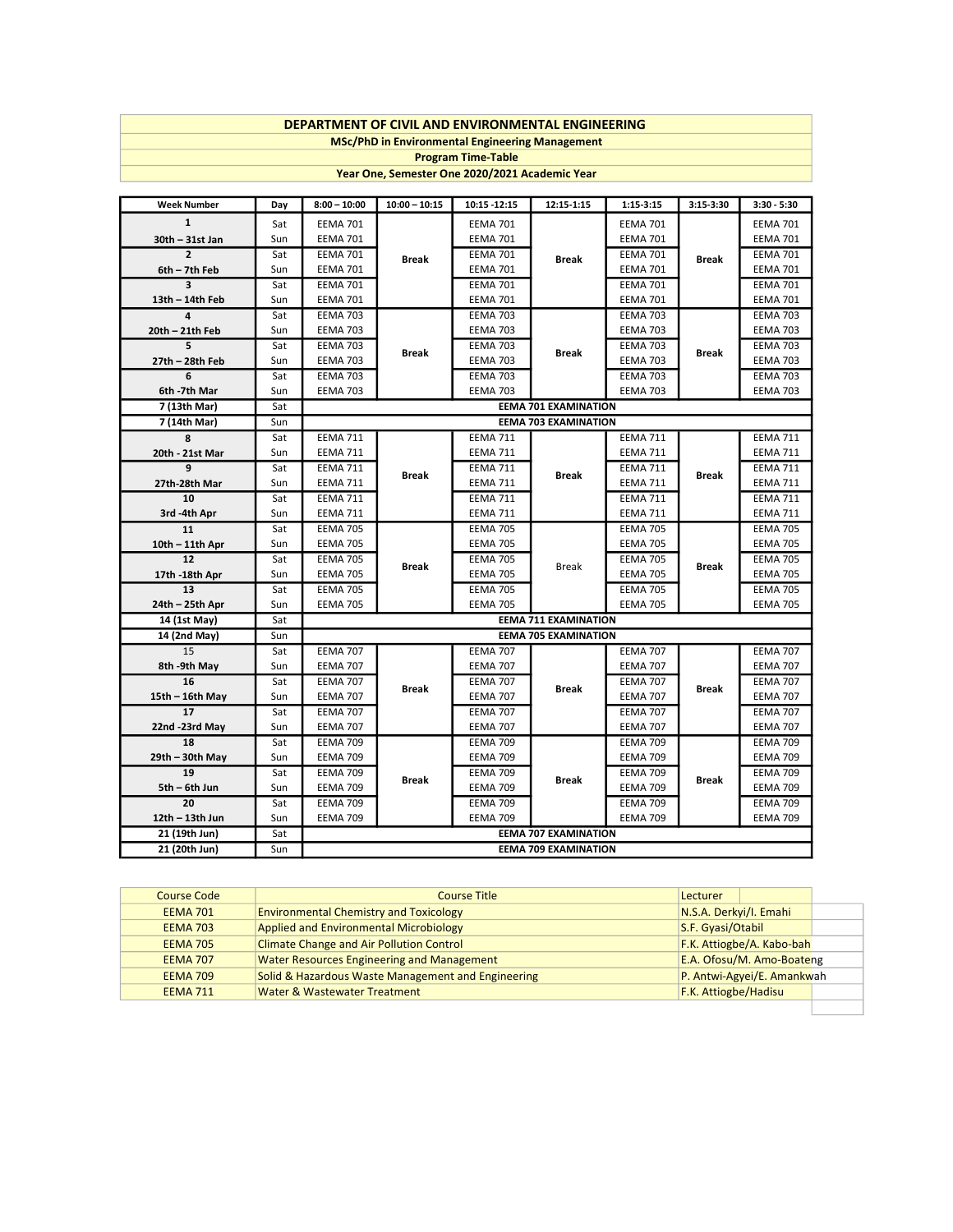## DEPARTMENT OF CIVIL AND ENVIRONMENTAL ENGINEERING

MSc/PhD in Environmental Engineering Management

Program Time-Table

Year One, Semester One 2020/2021 Academic Year

| <b>Week Number</b>    | Day        | $8:00 - 10:00$                                             | $10:00 - 10:15$                                                                                          | 10:15 -12:15                       | 12:15-1:15                  | $1:15 - 3:15$                      | 3:15-3:30       | $3:30 - 5:30$                      |
|-----------------------|------------|------------------------------------------------------------|----------------------------------------------------------------------------------------------------------|------------------------------------|-----------------------------|------------------------------------|-----------------|------------------------------------|
| $\mathbf{1}$          | Sat        | <b>EEMA 701</b>                                            |                                                                                                          | <b>EEMA 701</b>                    |                             | <b>EEMA 701</b>                    |                 | <b>EEMA 701</b>                    |
| 30th - 31st Jan       | Sun        | <b>EEMA 701</b>                                            | <b>EEMA 701</b><br><b>EEMA 701</b><br><b>Break</b><br><b>Break</b><br><b>EEMA 701</b><br><b>EEMA 701</b> | <b>EEMA 701</b>                    |                             | <b>EEMA 701</b>                    |                 |                                    |
| $\overline{2}$        | Sat        | <b>EEMA 701</b>                                            |                                                                                                          |                                    |                             | <b>EEMA 701</b>                    | <b>Break</b>    | <b>EEMA 701</b>                    |
| 6th - 7th Feb         | Sun        | <b>EEMA 701</b>                                            |                                                                                                          |                                    |                             | <b>EEMA 701</b>                    |                 | <b>EEMA 701</b>                    |
| 3                     | Sat        | <b>EEMA 701</b>                                            |                                                                                                          |                                    |                             | <b>EEMA 701</b>                    |                 | <b>EEMA 701</b>                    |
| 13th - 14th Feb       | Sun        | <b>EEMA 701</b>                                            |                                                                                                          | <b>EEMA 701</b>                    |                             | <b>EEMA 701</b>                    |                 | <b>EEMA 701</b>                    |
| 4                     | Sat        | <b>EEMA 703</b>                                            |                                                                                                          | <b>EEMA 703</b>                    |                             | <b>EEMA 703</b>                    | <b>Break</b>    | <b>EEMA 703</b>                    |
| 20th - 21th Feb       | Sun        | <b>EEMA 703</b>                                            |                                                                                                          | <b>EEMA 703</b>                    | <b>Break</b>                | <b>EEMA 703</b>                    |                 | <b>EEMA 703</b>                    |
| 5                     | Sat        | <b>EEMA 703</b>                                            |                                                                                                          | <b>EEMA 703</b>                    |                             | <b>EEMA 703</b>                    |                 | <b>EEMA 703</b>                    |
| 27th - 28th Feb       | Sun        | <b>EEMA 703</b>                                            | <b>Break</b>                                                                                             | <b>EEMA 703</b>                    |                             | <b>EEMA 703</b>                    |                 | <b>EEMA 703</b>                    |
| 6                     | Sat        | <b>EEMA 703</b>                                            |                                                                                                          | <b>EEMA 703</b>                    |                             | <b>EEMA 703</b>                    |                 | <b>EEMA 703</b>                    |
| 6th -7th Mar          | Sun        | <b>EEMA 703</b>                                            |                                                                                                          | <b>EEMA 703</b>                    |                             | <b>EEMA 703</b>                    |                 | <b>EEMA 703</b>                    |
| 7 (13th Mar)          | Sat        |                                                            |                                                                                                          |                                    | <b>EEMA 701 EXAMINATION</b> |                                    |                 |                                    |
| 7 (14th Mar)          | Sun        |                                                            |                                                                                                          |                                    | <b>EEMA 703 EXAMINATION</b> |                                    |                 |                                    |
| 8                     | Sat        | <b>EEMA 711</b>                                            |                                                                                                          | <b>EEMA 711</b>                    |                             | <b>EEMA 711</b>                    | <b>Break</b>    | <b>EEMA 711</b>                    |
| 20th - 21st Mar       | Sun        | <b>EEMA 711</b>                                            |                                                                                                          | <b>EEMA 711</b>                    |                             | <b>EEMA 711</b>                    |                 | <b>EEMA 711</b>                    |
| 9                     | Sat        | <b>EEMA 711</b>                                            |                                                                                                          | <b>EEMA 711</b>                    | <b>Break</b>                | <b>EEMA 711</b>                    |                 | <b>EEMA 711</b>                    |
| 27th-28th Mar         | Sun        | <b>EEMA 711</b>                                            | <b>Break</b><br><b>EEMA 711</b><br><b>EEMA 711</b><br><b>EEMA 711</b>                                    |                                    |                             | <b>EEMA 711</b>                    |                 | <b>EEMA 711</b>                    |
| 10                    | Sat        | <b>EEMA 711</b>                                            |                                                                                                          |                                    |                             | <b>EEMA 711</b>                    |                 | <b>EEMA 711</b>                    |
| 3rd -4th Apr          | Sun        | <b>EEMA 711</b>                                            |                                                                                                          |                                    | <b>EEMA 711</b>             |                                    | <b>EEMA 711</b> |                                    |
| 11                    | Sat        | <b>EEMA 705</b>                                            | <b>Break</b>                                                                                             | <b>EEMA 705</b>                    | <b>Break</b>                | <b>EEMA 705</b>                    | <b>Break</b>    | <b>EEMA 705</b>                    |
| $10th - 11th$ Apr     | Sun        | <b>EEMA 705</b>                                            |                                                                                                          | <b>EEMA 705</b>                    |                             | <b>EEMA 705</b>                    |                 | <b>EEMA 705</b>                    |
| 12                    | Sat        | <b>EEMA 705</b>                                            |                                                                                                          | <b>EEMA 705</b>                    |                             | <b>EEMA 705</b>                    |                 | <b>EEMA 705</b>                    |
| 17th -18th Apr        | Sun        | <b>EEMA 705</b>                                            |                                                                                                          | <b>EEMA 705</b>                    |                             | <b>EEMA 705</b>                    |                 | <b>EEMA 705</b>                    |
| 13                    | Sat        | <b>EEMA 705</b>                                            |                                                                                                          | <b>EEMA 705</b>                    |                             | <b>EEMA 705</b>                    |                 | <b>EEMA 705</b>                    |
| 24th - 25th Apr       | Sun        | <b>EEMA 705</b>                                            |                                                                                                          | <b>EEMA 705</b>                    |                             | <b>EEMA 705</b>                    |                 | <b>EEMA 705</b>                    |
| 14 (1st May)          | Sat        | <b>EEMA 711 EXAMINATION</b>                                |                                                                                                          |                                    |                             |                                    |                 |                                    |
| 14 (2nd May)          | Sun        | <b>EEMA 705 EXAMINATION</b>                                |                                                                                                          |                                    |                             |                                    |                 |                                    |
| 15                    | Sat        | <b>EEMA 707</b>                                            |                                                                                                          | <b>EEMA 707</b>                    |                             | <b>EEMA 707</b>                    |                 | <b>EEMA 707</b>                    |
| 8th -9th May          | Sun        | <b>EEMA 707</b>                                            |                                                                                                          | <b>EEMA 707</b>                    | <b>Break</b>                | <b>EEMA 707</b>                    | <b>Break</b>    | <b>EEMA 707</b>                    |
| 16                    | Sat        | <b>EEMA 707</b>                                            | <b>Break</b>                                                                                             | <b>EEMA 707</b>                    |                             | <b>EEMA 707</b>                    |                 | <b>EEMA 707</b>                    |
| 15th - 16th May       | Sun        | <b>EEMA 707</b>                                            | <b>EEMA 707</b><br><b>EEMA 707</b>                                                                       |                                    | <b>EEMA 707</b>             |                                    | <b>EEMA 707</b> |                                    |
| 17                    | Sat        | <b>EEMA 707</b>                                            |                                                                                                          |                                    |                             | <b>EEMA 707</b>                    |                 | <b>EEMA 707</b>                    |
| 22nd -23rd May        | Sun        | <b>EEMA 707</b>                                            |                                                                                                          | <b>EEMA 707</b>                    |                             | <b>EEMA 707</b>                    |                 | <b>EEMA 707</b>                    |
| 18                    | Sat        | <b>EEMA 709</b>                                            |                                                                                                          | <b>EEMA 709</b>                    | <b>Break</b>                | <b>EEMA 709</b>                    | <b>Break</b>    | <b>EEMA 709</b>                    |
| 29th - 30th May<br>19 | Sun        | <b>EEMA 709</b>                                            |                                                                                                          | <b>EEMA 709</b>                    |                             | <b>EEMA 709</b>                    |                 | <b>EEMA 709</b>                    |
| 5th - 6th Jun         | Sat<br>Sun | <b>EEMA 709</b><br><b>EEMA 709</b>                         | <b>Break</b>                                                                                             | <b>EEMA 709</b><br><b>EEMA 709</b> |                             | <b>EEMA 709</b><br><b>EEMA 709</b> |                 | <b>EEMA 709</b><br><b>EEMA 709</b> |
| 20                    | Sat        | <b>EEMA 709</b>                                            |                                                                                                          | <b>EEMA 709</b>                    |                             | <b>EEMA 709</b>                    |                 | <b>EEMA 709</b>                    |
| 12th - 13th Jun       | Sun        | <b>EEMA 709</b>                                            |                                                                                                          | <b>EEMA 709</b>                    |                             | <b>EEMA 709</b>                    |                 | <b>EEMA 709</b>                    |
| 21 (19th Jun)         | Sat        |                                                            |                                                                                                          |                                    |                             |                                    |                 |                                    |
| 21 (20th Jun)         | Sun        | <b>EEMA 707 EXAMINATION</b><br><b>EEMA 709 EXAMINATION</b> |                                                                                                          |                                    |                             |                                    |                 |                                    |
|                       |            |                                                            |                                                                                                          |                                    |                             |                                    |                 |                                    |

| <b>Course Code</b> | <b>Course Title</b>                                | Lecturer               |                            |  |
|--------------------|----------------------------------------------------|------------------------|----------------------------|--|
| <b>EEMA 701</b>    | <b>Environmental Chemistry and Toxicology</b>      | N.S.A. Derkyi/I. Emahi |                            |  |
| <b>EEMA 703</b>    | <b>Applied and Environmental Microbiology</b>      | S.F. Gyasi/Otabil      |                            |  |
| <b>EEMA 705</b>    | <b>Climate Change and Air Pollution Control</b>    |                        | F.K. Attiogbe/A. Kabo-bah  |  |
| <b>EEMA 707</b>    | <b>Water Resources Engineering and Management</b>  |                        | E.A. Ofosu/M. Amo-Boateng  |  |
| <b>EEMA 709</b>    | Solid & Hazardous Waste Management and Engineering |                        | P. Antwi-Agyei/E. Amankwah |  |
| <b>EEMA 711</b>    | <b>Water &amp; Wastewater Treatment</b>            | F.K. Attiogbe/Hadisu   |                            |  |
|                    |                                                    |                        |                            |  |